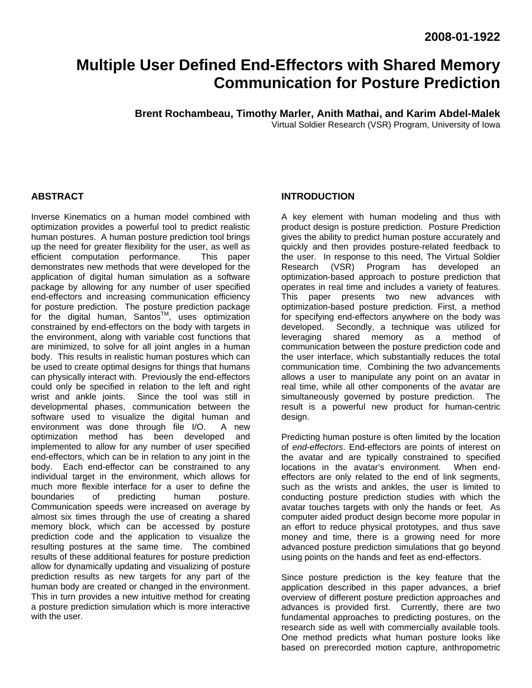# **Multiple User Defined End-Effectors with Shared Memory Communication for Posture Prediction**

**Brent Rochambeau, Timothy Marler, Anith Mathai, and Karim Abdel-Malek** 

Virtual Soldier Research (VSR) Program, University of Iowa

## **ABSTRACT**

Inverse Kinematics on a human model combined with optimization provides a powerful tool to predict realistic human postures. A human posture prediction tool brings up the need for greater flexibility for the user, as well as efficient computation performance. This paper demonstrates new methods that were developed for the application of digital human simulation as a software package by allowing for any number of user specified end-effectors and increasing communication efficiency for posture prediction. The posture prediction package for the digital human,  $Santos<sup>TM</sup>$ , uses optimization constrained by end-effectors on the body with targets in the environment, along with variable cost functions that are minimized, to solve for all joint angles in a human body. This results in realistic human postures which can be used to create optimal designs for things that humans can physically interact with. Previously the end-effectors could only be specified in relation to the left and right wrist and ankle joints. Since the tool was still in developmental phases, communication between the software used to visualize the digital human and environment was done through file I/O. A new optimization method has been developed and implemented to allow for any number of user specified end-effectors, which can be in relation to any joint in the body. Each end-effector can be constrained to any individual target in the environment, which allows for much more flexible interface for a user to define the boundaries of predicting buman posture. boundaries of predicting human posture. Communication speeds were increased on average by almost six times through the use of creating a shared memory block, which can be accessed by posture prediction code and the application to visualize the resulting postures at the same time. The combined results of these additional features for posture prediction allow for dynamically updating and visualizing of posture prediction results as new targets for any part of the human body are created or changed in the environment. This in turn provides a new intuitive method for creating a posture prediction simulation which is more interactive with the user.

#### **INTRODUCTION**

A key element with human modeling and thus with product design is posture prediction. Posture Prediction gives the ability to predict human posture accurately and quickly and then provides posture-related feedback to the user. In response to this need, The Virtual Soldier Research (VSR) Program has developed an optimization-based approach to posture prediction that operates in real time and includes a variety of features. This paper presents two new advances with optimization-based posture prediction. First, a method for specifying end-effectors anywhere on the body was developed. Secondly, a technique was utilized for leveraging shared memory as a method of communication between the posture prediction code and the user interface, which substantially reduces the total communication time. Combining the two advancements allows a user to manipulate any point on an avatar in real time, while all other components of the avatar are simultaneously governed by posture prediction. The result is a powerful new product for human-centric design.

Predicting human posture is often limited by the location of *end-effectors*. End-effectors are points of interest on the avatar and are typically constrained to specified locations in the avatar's environment. When endeffectors are only related to the end of link segments, such as the wrists and ankles, the user is limited to conducting posture prediction studies with which the avatar touches targets with only the hands or feet. As computer aided product design become more popular in an effort to reduce physical prototypes, and thus save money and time, there is a growing need for more advanced posture prediction simulations that go beyond using points on the hands and feet as end-effectors.

Since posture prediction is the key feature that the application described in this paper advances, a brief overview of different posture prediction approaches and advances is provided first. Currently, there are two fundamental approaches to predicting postures, on the research side as well with commercially available tools. One method predicts what human posture looks like based on prerecorded motion capture, anthropometric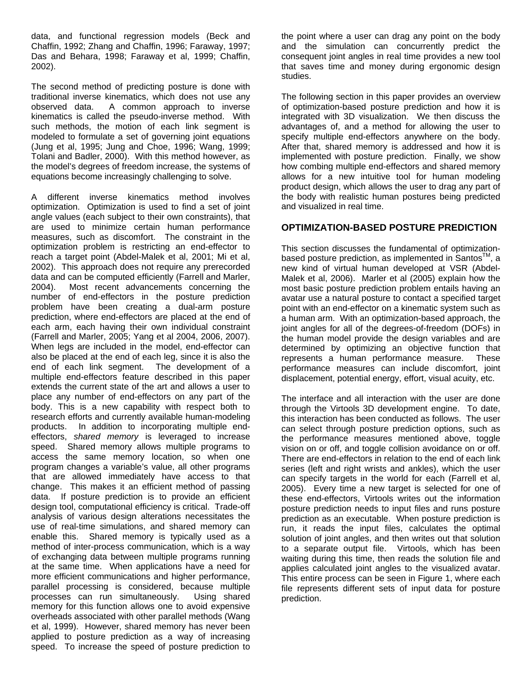data, and functional regression models (Beck and Chaffin, 1992; Zhang and Chaffin, 1996; Faraway, 1997; Das and Behara, 1998; Faraway et al, 1999; Chaffin, 2002).

The second method of predicting posture is done with traditional inverse kinematics, which does not use any observed data. A common approach to inverse kinematics is called the pseudo-inverse method. With such methods, the motion of each link segment is modeled to formulate a set of governing joint equations (Jung et al, 1995; Jung and Choe, 1996; Wang, 1999; Tolani and Badler, 2000). With this method however, as the model's degrees of freedom increase, the systems of equations become increasingly challenging to solve.

A different inverse kinematics method involves optimization. Optimization is used to find a set of joint angle values (each subject to their own constraints), that are used to minimize certain human performance measures, such as discomfort. The constraint in the optimization problem is restricting an end-effector to reach a target point (Abdel-Malek et al, 2001; Mi et al, 2002). This approach does not require any prerecorded data and can be computed efficiently (Farrell and Marler, 2004). Most recent advancements concerning the number of end-effectors in the posture prediction problem have been creating a dual-arm posture prediction, where end-effectors are placed at the end of each arm, each having their own individual constraint (Farrell and Marler, 2005; Yang et al 2004, 2006, 2007). When legs are included in the model, end-effector can also be placed at the end of each leg, since it is also the end of each link segment. The development of a multiple end-effectors feature described in this paper extends the current state of the art and allows a user to place any number of end-effectors on any part of the body. This is a new capability with respect both to research efforts and currently available human-modeling products. In addition to incorporating multiple endeffectors, *shared memory* is leveraged to increase speed. Shared memory allows multiple programs to access the same memory location, so when one program changes a variable's value, all other programs that are allowed immediately have access to that change. This makes it an efficient method of passing data. If posture prediction is to provide an efficient design tool, computational efficiency is critical. Trade-off analysis of various design alterations necessitates the use of real-time simulations, and shared memory can enable this. Shared memory is typically used as a method of inter-process communication, which is a way of exchanging data between multiple programs running at the same time. When applications have a need for more efficient communications and higher performance, parallel processing is considered, because multiple processes can run simultaneously. Using shared memory for this function allows one to avoid expensive overheads associated with other parallel methods (Wang et al, 1999). However, shared memory has never been applied to posture prediction as a way of increasing speed. To increase the speed of posture prediction to

the point where a user can drag any point on the body and the simulation can concurrently predict the consequent joint angles in real time provides a new tool that saves time and money during ergonomic design studies.

The following section in this paper provides an overview of optimization-based posture prediction and how it is integrated with 3D visualization. We then discuss the advantages of, and a method for allowing the user to specify multiple end-effectors anywhere on the body. After that, shared memory is addressed and how it is implemented with posture prediction. Finally, we show how combing multiple end-effectors and shared memory allows for a new intuitive tool for human modeling product design, which allows the user to drag any part of the body with realistic human postures being predicted and visualized in real time.

#### **OPTIMIZATION-BASED POSTURE PREDICTION**

This section discusses the fundamental of optimizationbased posture prediction, as implemented in Santos<sup>TM</sup>, a new kind of virtual human developed at VSR (Abdel-Malek et al, 2006). Marler et al (2005) explain how the most basic posture prediction problem entails having an avatar use a natural posture to contact a specified target point with an end-effector on a kinematic system such as a human arm. With an optimization-based approach, the joint angles for all of the degrees-of-freedom (DOFs) in the human model provide the design variables and are determined by optimizing an objective function that represents a human performance measure. These performance measures can include discomfort, joint displacement, potential energy, effort, visual acuity, etc.

The interface and all interaction with the user are done through the Virtools 3D development engine. To date, this interaction has been conducted as follows. The user can select through posture prediction options, such as the performance measures mentioned above, toggle vision on or off, and toggle collision avoidance on or off. There are end-effectors in relation to the end of each link series (left and right wrists and ankles), which the user can specify targets in the world for each (Farrell et al, 2005). Every time a new target is selected for one of these end-effectors, Virtools writes out the information posture prediction needs to input files and runs posture prediction as an executable. When posture prediction is run, it reads the input files, calculates the optimal solution of joint angles, and then writes out that solution to a separate output file. Virtools, which has been waiting during this time, then reads the solution file and applies calculated joint angles to the visualized avatar. This entire process can be seen in Figure 1, where each file represents different sets of input data for posture prediction.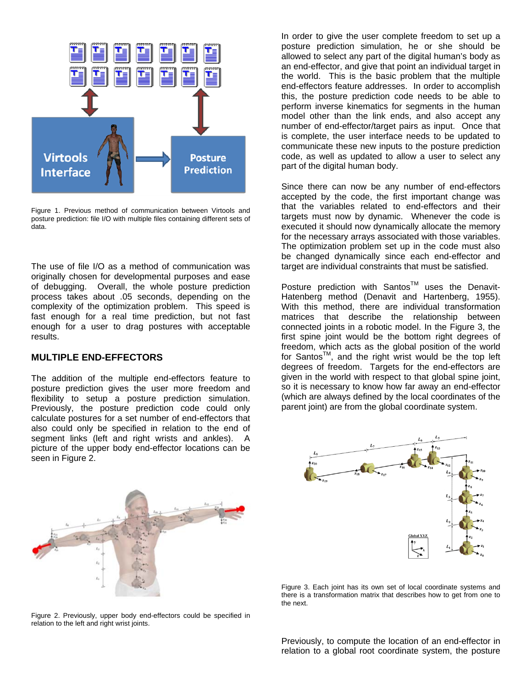

Figure 1. Previous method of communication between Virtools and posture prediction: file I/O with multiple files containing different sets of data.

The use of file I/O as a method of communication was originally chosen for developmental purposes and ease of debugging. Overall, the whole posture prediction process takes about .05 seconds, depending on the complexity of the optimization problem. This speed is fast enough for a real time prediction, but not fast enough for a user to drag postures with acceptable results.

### **MULTIPLE END-EFFECTORS**

The addition of the multiple end-effectors feature to posture prediction gives the user more freedom and flexibility to setup a posture prediction simulation. Previously, the posture prediction code could only calculate postures for a set number of end-effectors that also could only be specified in relation to the end of segment links (left and right wrists and ankles). A picture of the upper body end-effector locations can be seen in Figure 2.



Figure 2. Previously, upper body end-effectors could be specified in relation to the left and right wrist joints.

In order to give the user complete freedom to set up a posture prediction simulation, he or she should be allowed to select any part of the digital human's body as an end-effector, and give that point an individual target in the world. This is the basic problem that the multiple end-effectors feature addresses. In order to accomplish this, the posture prediction code needs to be able to perform inverse kinematics for segments in the human model other than the link ends, and also accept any number of end-effector/target pairs as input. Once that is complete, the user interface needs to be updated to communicate these new inputs to the posture prediction code, as well as updated to allow a user to select any part of the digital human body.

Since there can now be any number of end-effectors accepted by the code, the first important change was that the variables related to end-effectors and their targets must now by dynamic. Whenever the code is executed it should now dynamically allocate the memory for the necessary arrays associated with those variables. The optimization problem set up in the code must also be changed dynamically since each end-effector and target are individual constraints that must be satisfied.

Posture prediction with Santos™ uses the Denavit-Hatenberg method (Denavit and Hartenberg, 1955). With this method, there are individual transformation matrices that describe the relationship between connected joints in a robotic model. In the Figure 3, the first spine joint would be the bottom right degrees of freedom, which acts as the global position of the world for Santos<sup>TM</sup>, and the right wrist would be the top left degrees of freedom. Targets for the end-effectors are given in the world with respect to that global spine joint, so it is necessary to know how far away an end-effector (which are always defined by the local coordinates of the parent joint) are from the global coordinate system.



Figure 3. Each joint has its own set of local coordinate systems and there is a transformation matrix that describes how to get from one to the next.

Previously, to compute the location of an end-effector in relation to a global root coordinate system, the posture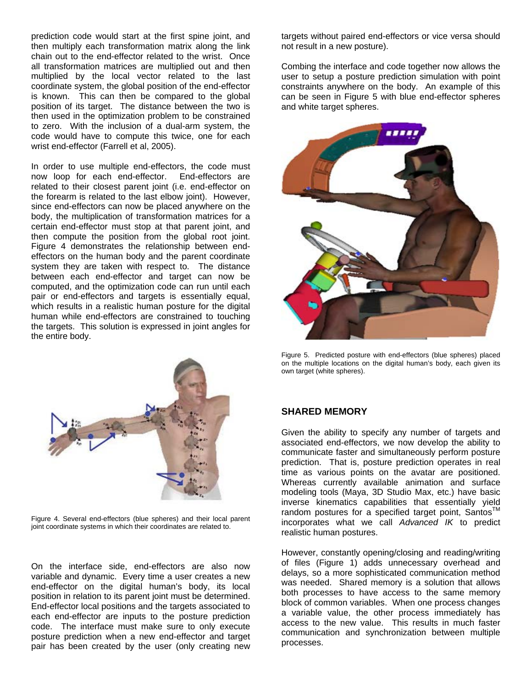prediction code would start at the first spine joint, and then multiply each transformation matrix along the link chain out to the end-effector related to the wrist. Once all transformation matrices are multiplied out and then multiplied by the local vector related to the last coordinate system, the global position of the end-effector is known. This can then be compared to the global position of its target. The distance between the two is then used in the optimization problem to be constrained to zero. With the inclusion of a dual-arm system, the code would have to compute this twice, one for each wrist end-effector (Farrell et al, 2005).

In order to use multiple end-effectors, the code must now loop for each end-effector. End-effectors are related to their closest parent joint (i.e. end-effector on the forearm is related to the last elbow joint). However, since end-effectors can now be placed anywhere on the body, the multiplication of transformation matrices for a certain end-effector must stop at that parent joint, and then compute the position from the global root joint. Figure 4 demonstrates the relationship between endeffectors on the human body and the parent coordinate system they are taken with respect to. The distance between each end-effector and target can now be computed, and the optimization code can run until each pair or end-effectors and targets is essentially equal, which results in a realistic human posture for the digital human while end-effectors are constrained to touching the targets. This solution is expressed in joint angles for the entire body.



Figure 4. Several end-effectors (blue spheres) and their local parent joint coordinate systems in which their coordinates are related to.

On the interface side, end-effectors are also now variable and dynamic. Every time a user creates a new end-effector on the digital human's body, its local position in relation to its parent joint must be determined. End-effector local positions and the targets associated to each end-effector are inputs to the posture prediction code. The interface must make sure to only execute posture prediction when a new end-effector and target pair has been created by the user (only creating new

targets without paired end-effectors or vice versa should not result in a new posture).

Combing the interface and code together now allows the user to setup a posture prediction simulation with point constraints anywhere on the body. An example of this can be seen in Figure 5 with blue end-effector spheres and white target spheres.



Figure 5. Predicted posture with end-effectors (blue spheres) placed on the multiple locations on the digital human's body, each given its own target (white spheres).

### **SHARED MEMORY**

Given the ability to specify any number of targets and associated end-effectors, we now develop the ability to communicate faster and simultaneously perform posture prediction. That is, posture prediction operates in real time as various points on the avatar are positioned. Whereas currently available animation and surface modeling tools (Maya, 3D Studio Max, etc.) have basic inverse kinematics capabilities that essentially yield random postures for a specified target point, Santos™ incorporates what we call *Advanced IK* to predict realistic human postures.

However, constantly opening/closing and reading/writing of files (Figure 1) adds unnecessary overhead and delays, so a more sophisticated communication method was needed. Shared memory is a solution that allows both processes to have access to the same memory block of common variables. When one process changes a variable value, the other process immediately has access to the new value. This results in much faster communication and synchronization between multiple processes.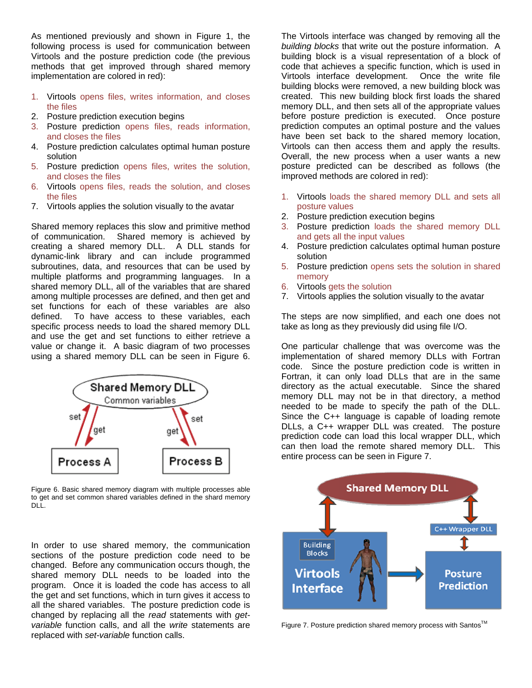As mentioned previously and shown in Figure 1, the following process is used for communication between Virtools and the posture prediction code (the previous methods that get improved through shared memory implementation are colored in red):

- 1. Virtools opens files, writes information, and closes the files
- 2. Posture prediction execution begins
- 3. Posture prediction opens files, reads information, and closes the files
- 4. Posture prediction calculates optimal human posture solution
- 5. Posture prediction opens files, writes the solution, and closes the files
- 6. Virtools opens files, reads the solution, and closes the files
- 7. Virtools applies the solution visually to the avatar

Shared memory replaces this slow and primitive method of communication. Shared memory is achieved by creating a shared memory DLL. A DLL stands for dynamic-link library and can include programmed subroutines, data, and resources that can be used by multiple platforms and programming languages. In a shared memory DLL, all of the variables that are shared among multiple processes are defined, and then get and set functions for each of these variables are also defined. To have access to these variables, each specific process needs to load the shared memory DLL and use the get and set functions to either retrieve a value or change it. A basic diagram of two processes using a shared memory DLL can be seen in Figure 6.



Figure 6. Basic shared memory diagram with multiple processes able to get and set common shared variables defined in the shard memory DLL.

In order to use shared memory, the communication sections of the posture prediction code need to be changed. Before any communication occurs though, the shared memory DLL needs to be loaded into the program. Once it is loaded the code has access to all the get and set functions, which in turn gives it access to all the shared variables. The posture prediction code is changed by replacing all the *read* statements with *getvariable* function calls, and all the *write* statements are replaced with *set-variable* function calls.

The Virtools interface was changed by removing all the *building blocks* that write out the posture information. A building block is a visual representation of a block of code that achieves a specific function, which is used in Virtools interface development. Once the write file building blocks were removed, a new building block was created. This new building block first loads the shared memory DLL, and then sets all of the appropriate values before posture prediction is executed. Once posture prediction computes an optimal posture and the values have been set back to the shared memory location, Virtools can then access them and apply the results. Overall, the new process when a user wants a new posture predicted can be described as follows (the improved methods are colored in red):

- 1. Virtools loads the shared memory DLL and sets all posture values
- 2. Posture prediction execution begins
- 3. Posture prediction loads the shared memory DLL and gets all the input values
- 4. Posture prediction calculates optimal human posture solution
- 5. Posture prediction opens sets the solution in shared memory
- 6. Virtools gets the solution
- 7. Virtools applies the solution visually to the avatar

The steps are now simplified, and each one does not take as long as they previously did using file I/O.

One particular challenge that was overcome was the implementation of shared memory DLLs with Fortran code. Since the posture prediction code is written in Fortran, it can only load DLLs that are in the same directory as the actual executable. Since the shared memory DLL may not be in that directory, a method needed to be made to specify the path of the DLL. Since the C++ language is capable of loading remote DLLs, a C++ wrapper DLL was created. The posture prediction code can load this local wrapper DLL, which can then load the remote shared memory DLL. This entire process can be seen in Figure 7.



Figure 7. Posture prediction shared memory process with Santos™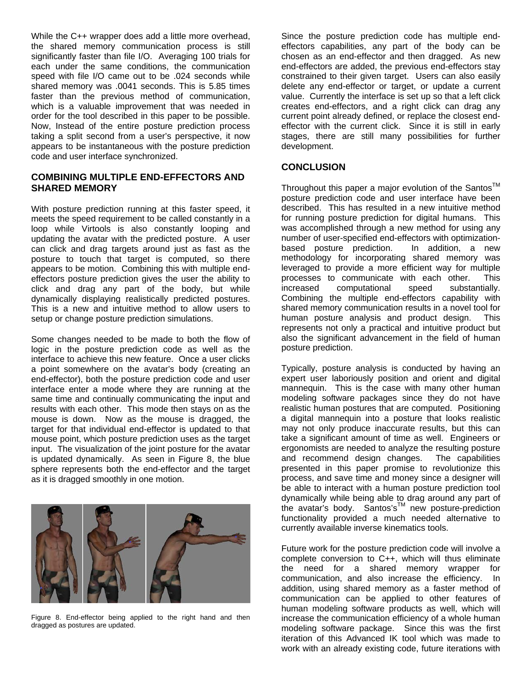While the C++ wrapper does add a little more overhead, the shared memory communication process is still significantly faster than file I/O. Averaging 100 trials for each under the same conditions, the communication speed with file I/O came out to be .024 seconds while shared memory was .0041 seconds. This is 5.85 times faster than the previous method of communication, which is a valuable improvement that was needed in order for the tool described in this paper to be possible. Now, Instead of the entire posture prediction process taking a split second from a user's perspective, it now appears to be instantaneous with the posture prediction code and user interface synchronized.

### **COMBINING MULTIPLE END-EFFECTORS AND SHARED MEMORY**

With posture prediction running at this faster speed, it meets the speed requirement to be called constantly in a loop while Virtools is also constantly looping and updating the avatar with the predicted posture. A user can click and drag targets around just as fast as the posture to touch that target is computed, so there appears to be motion. Combining this with multiple endeffectors posture prediction gives the user the ability to click and drag any part of the body, but while dynamically displaying realistically predicted postures. This is a new and intuitive method to allow users to setup or change posture prediction simulations.

Some changes needed to be made to both the flow of logic in the posture prediction code as well as the interface to achieve this new feature. Once a user clicks a point somewhere on the avatar's body (creating an end-effector), both the posture prediction code and user interface enter a mode where they are running at the same time and continually communicating the input and results with each other. This mode then stays on as the mouse is down. Now as the mouse is dragged, the target for that individual end-effector is updated to that mouse point, which posture prediction uses as the target input. The visualization of the joint posture for the avatar is updated dynamically. As seen in Figure 8, the blue sphere represents both the end-effector and the target as it is dragged smoothly in one motion.



Figure 8. End-effector being applied to the right hand and then dragged as postures are updated.

Since the posture prediction code has multiple endeffectors capabilities, any part of the body can be chosen as an end-effector and then dragged. As new end-effectors are added, the previous end-effectors stay constrained to their given target. Users can also easily delete any end-effector or target, or update a current value. Currently the interface is set up so that a left click creates end-effectors, and a right click can drag any current point already defined, or replace the closest endeffector with the current click. Since it is still in early stages, there are still many possibilities for further development.

## **CONCLUSION**

Throughout this paper a maior evolution of the Santos<sup>TM</sup> posture prediction code and user interface have been described. This has resulted in a new intuitive method for running posture prediction for digital humans. This was accomplished through a new method for using any number of user-specified end-effectors with optimizationbased posture prediction. In addition, a new methodology for incorporating shared memory was leveraged to provide a more efficient way for multiple processes to communicate with each other. This increased computational speed substantially. Combining the multiple end-effectors capability with shared memory communication results in a novel tool for human posture analysis and product design. This represents not only a practical and intuitive product but also the significant advancement in the field of human posture prediction.

Typically, posture analysis is conducted by having an expert user laboriously position and orient and digital mannequin. This is the case with many other human modeling software packages since they do not have realistic human postures that are computed. Positioning a digital mannequin into a posture that looks realistic may not only produce inaccurate results, but this can take a significant amount of time as well. Engineers or ergonomists are needed to analyze the resulting posture and recommend design changes. The capabilities presented in this paper promise to revolutionize this process, and save time and money since a designer will be able to interact with a human posture prediction tool dynamically while being able to drag around any part of the avatar's body. Santos's™ new posture-prediction functionality provided a much needed alternative to currently available inverse kinematics tools.

Future work for the posture prediction code will involve a complete conversion to C++, which will thus eliminate the need for a shared memory wrapper for communication, and also increase the efficiency. In addition, using shared memory as a faster method of communication can be applied to other features of human modeling software products as well, which will increase the communication efficiency of a whole human modeling software package. Since this was the first iteration of this Advanced IK tool which was made to work with an already existing code, future iterations with